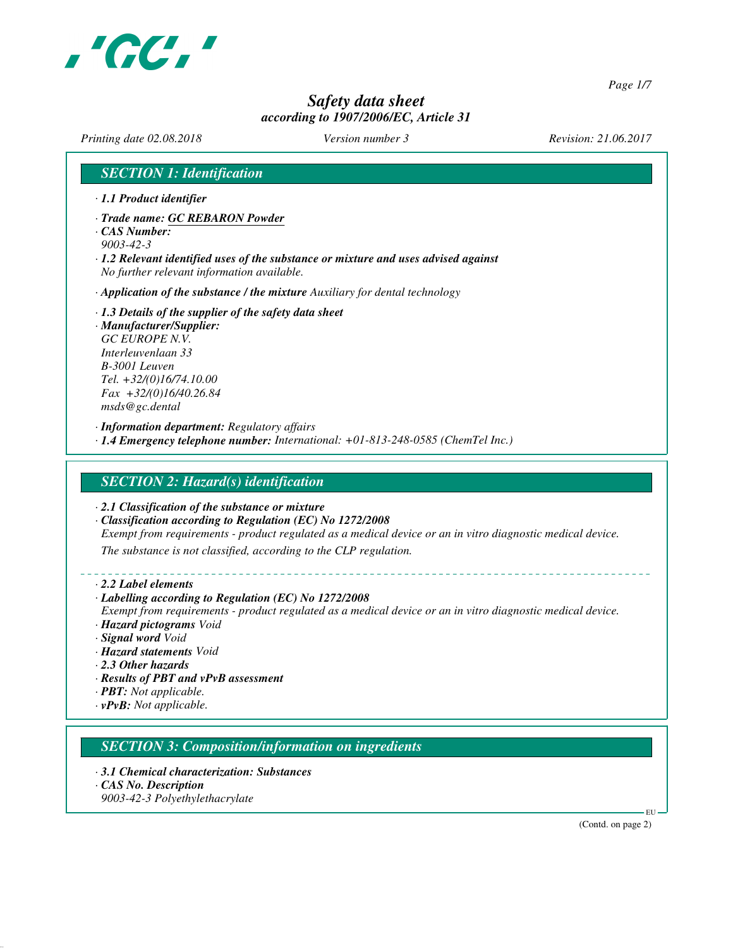

*Page 1/7*

# *Safety data sheet according to 1907/2006/EC, Article 31*

*Printing date 02.08.2018 Version number 3 Revision: 21.06.2017*

# *SECTION 1: Identification*

- *· 1.1 Product identifier*
- *· Trade name: GC REBARON Powder*
- *· CAS Number: 9003-42-3*
- *· 1.2 Relevant identified uses of the substance or mixture and uses advised against No further relevant information available.*
- *· Application of the substance / the mixture Auxiliary for dental technology*
- *· 1.3 Details of the supplier of the safety data sheet*
- *· Manufacturer/Supplier: GC EUROPE N.V. Interleuvenlaan 33 B-3001 Leuven Tel. +32/(0)16/74.10.00 Fax +32/(0)16/40.26.84 msds@gc.dental*
- *· Information department: Regulatory affairs*
- *· 1.4 Emergency telephone number: International: +01-813-248-0585 (ChemTel Inc.)*

# *SECTION 2: Hazard(s) identification*

*· 2.1 Classification of the substance or mixture*

*· Classification according to Regulation (EC) No 1272/2008 Exempt from requirements - product regulated as a medical device or an in vitro diagnostic medical device. The substance is not classified, according to the CLP regulation.*

- *· 2.2 Label elements*
- *· Labelling according to Regulation (EC) No 1272/2008 Exempt from requirements - product regulated as a medical device or an in vitro diagnostic medical device. · Hazard pictograms Void · Signal word Void · Hazard statements Void · 2.3 Other hazards · Results of PBT and vPvB assessment · PBT: Not applicable.*
- *· vPvB: Not applicable.*

*SECTION 3: Composition/information on ingredients*

*· 3.1 Chemical characterization: Substances · CAS No. Description 9003-42-3 Polyethylethacrylate*

(Contd. on page 2)

EU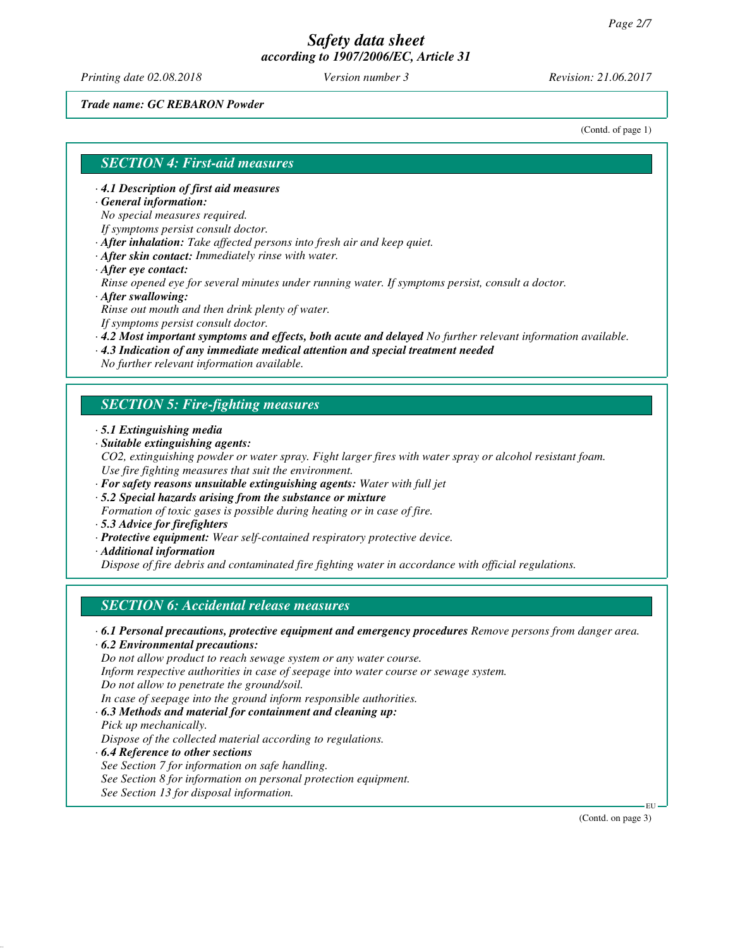*Printing date 02.08.2018 Version number 3 Revision: 21.06.2017*

*Trade name: GC REBARON Powder*

(Contd. of page 1)

#### *SECTION 4: First-aid measures*

*· 4.1 Description of first aid measures*

*· General information:*

*No special measures required.*

*If symptoms persist consult doctor.*

*· After inhalation: Take affected persons into fresh air and keep quiet.*

- *· After skin contact: Immediately rinse with water.*
- *· After eye contact:*

*Rinse opened eye for several minutes under running water. If symptoms persist, consult a doctor. · After swallowing:*

*Rinse out mouth and then drink plenty of water.*

*If symptoms persist consult doctor.*

*· 4.2 Most important symptoms and effects, both acute and delayed No further relevant information available.*

*· 4.3 Indication of any immediate medical attention and special treatment needed*

*No further relevant information available.*

#### *SECTION 5: Fire-fighting measures*

- *· 5.1 Extinguishing media*
- *· Suitable extinguishing agents:*

*CO2, extinguishing powder or water spray. Fight larger fires with water spray or alcohol resistant foam. Use fire fighting measures that suit the environment.*

- *· For safety reasons unsuitable extinguishing agents: Water with full jet*
- *· 5.2 Special hazards arising from the substance or mixture*

*Formation of toxic gases is possible during heating or in case of fire.*

- *· 5.3 Advice for firefighters*
- *· Protective equipment: Wear self-contained respiratory protective device.*
- *· Additional information*

*Dispose of fire debris and contaminated fire fighting water in accordance with official regulations.*

#### *SECTION 6: Accidental release measures*

*· 6.1 Personal precautions, protective equipment and emergency procedures Remove persons from danger area.*

*· 6.2 Environmental precautions:*

*Do not allow product to reach sewage system or any water course.*

*Inform respective authorities in case of seepage into water course or sewage system.*

*Do not allow to penetrate the ground/soil.*

*In case of seepage into the ground inform responsible authorities.*

*· 6.3 Methods and material for containment and cleaning up:*

- *Pick up mechanically. Dispose of the collected material according to regulations.*
- *· 6.4 Reference to other sections See Section 7 for information on safe handling. See Section 8 for information on personal protection equipment. See Section 13 for disposal information.*

(Contd. on page 3)

EU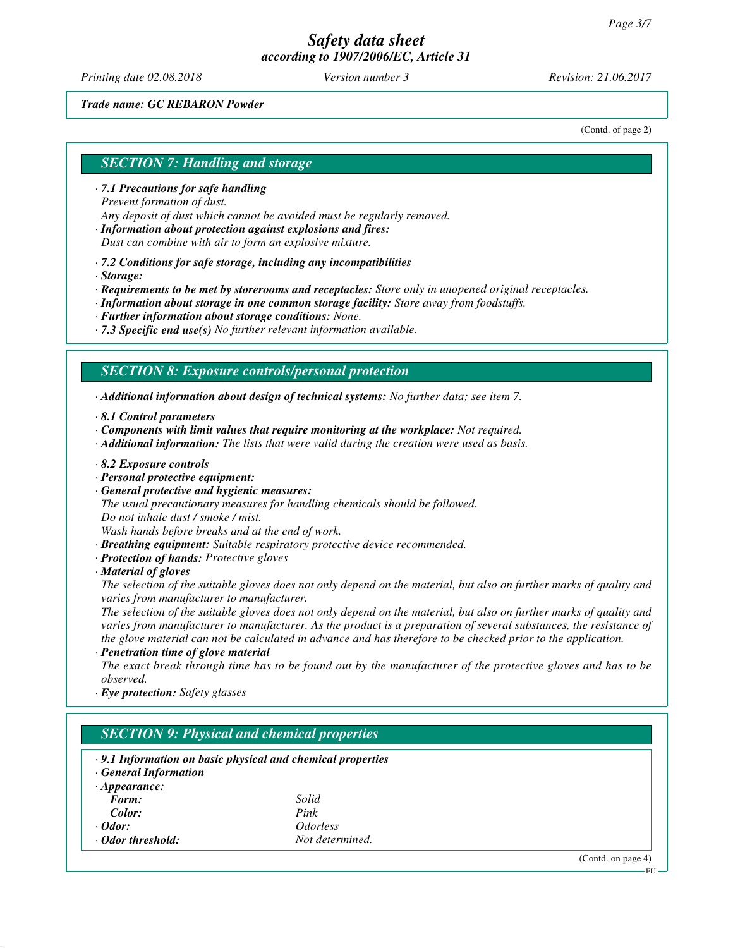*Printing date 02.08.2018 Version number 3 Revision: 21.06.2017*

#### *Trade name: GC REBARON Powder*

(Contd. of page 2)

# *SECTION 7: Handling and storage*

*· 7.1 Precautions for safe handling Prevent formation of dust. Any deposit of dust which cannot be avoided must be regularly removed.*

*· Information about protection against explosions and fires: Dust can combine with air to form an explosive mixture.*

*· 7.2 Conditions for safe storage, including any incompatibilities*

*· Storage:*

*· Requirements to be met by storerooms and receptacles: Store only in unopened original receptacles.*

*· Information about storage in one common storage facility: Store away from foodstuffs.*

*· Further information about storage conditions: None.*

*· 7.3 Specific end use(s) No further relevant information available.*

#### *SECTION 8: Exposure controls/personal protection*

*· Additional information about design of technical systems: No further data; see item 7.*

*· 8.1 Control parameters*

*· Components with limit values that require monitoring at the workplace: Not required.*

*· Additional information: The lists that were valid during the creation were used as basis.*

*· 8.2 Exposure controls*

*· Personal protective equipment:*

*· General protective and hygienic measures:*

*The usual precautionary measures for handling chemicals should be followed.*

*Do not inhale dust / smoke / mist.*

*Wash hands before breaks and at the end of work.*

*· Breathing equipment: Suitable respiratory protective device recommended.*

*· Protection of hands: Protective gloves*

*· Material of gloves*

*The selection of the suitable gloves does not only depend on the material, but also on further marks of quality and varies from manufacturer to manufacturer.*

*The selection of the suitable gloves does not only depend on the material, but also on further marks of quality and varies from manufacturer to manufacturer. As the product is a preparation of several substances, the resistance of the glove material can not be calculated in advance and has therefore to be checked prior to the application.*

*· Penetration time of glove material*

*The exact break through time has to be found out by the manufacturer of the protective gloves and has to be observed.*

*· Eye protection: Safety glasses*

# *SECTION 9: Physical and chemical properties · 9.1 Information on basic physical and chemical properties*

*· General Information · Appearance:*

| Form:             | Solid                         |
|-------------------|-------------------------------|
| Color:            | Pink                          |
| $\cdot$ Odor:     | <i><u><b>Odorless</b></u></i> |
| ⋅ Odor threshold: | Not determined.               |

(Contd. on page 4)

EU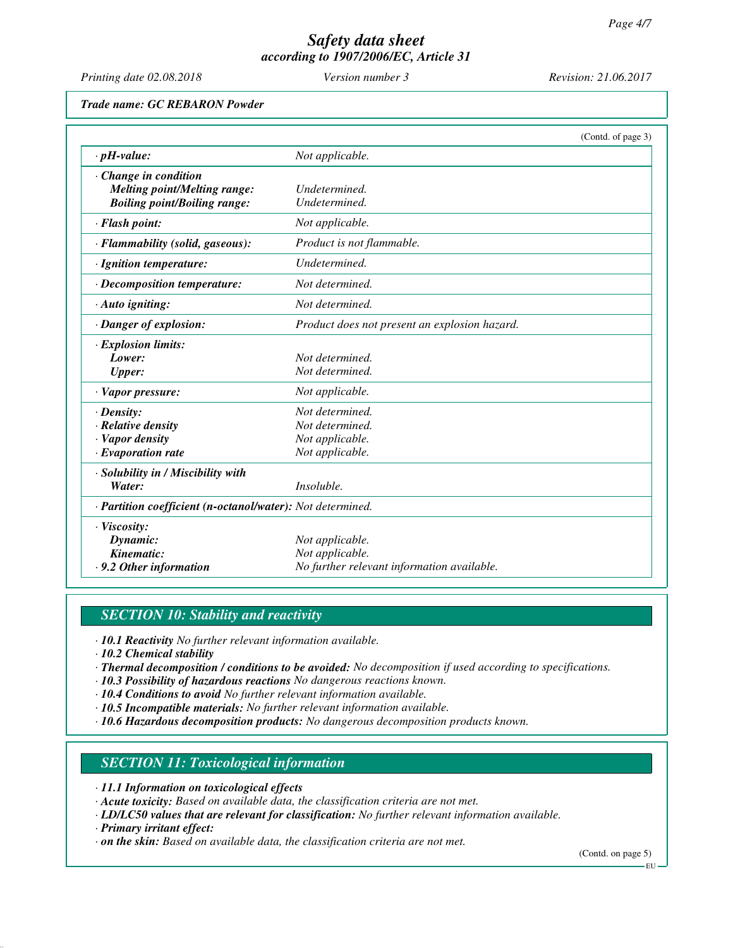*Printing date 02.08.2018 Version number 3 Revision: 21.06.2017*

*Trade name: GC REBARON Powder*

|                                                            |                                               | (Contd. of page 3) |
|------------------------------------------------------------|-----------------------------------------------|--------------------|
| $\cdot$ pH-value:                                          | Not applicable.                               |                    |
| Change in condition                                        |                                               |                    |
| <b>Melting point/Melting range:</b>                        | Undetermined.                                 |                    |
| <b>Boiling point/Boiling range:</b>                        | Undetermined.                                 |                    |
| · Flash point:                                             | Not applicable.                               |                    |
| · Flammability (solid, gaseous):                           | Product is not flammable.                     |                    |
| · Ignition temperature:                                    | Undetermined.                                 |                    |
| · Decomposition temperature:                               | Not determined.                               |                    |
| · Auto igniting:                                           | Not determined.                               |                    |
| · Danger of explosion:                                     | Product does not present an explosion hazard. |                    |
| · Explosion limits:                                        |                                               |                    |
| Lower:                                                     | Not determined.                               |                    |
| <b>Upper:</b>                                              | Not determined.                               |                    |
| $\cdot$ Vapor pressure:                                    | Not applicable.                               |                    |
| $\cdot$ Density:                                           | Not determined.                               |                    |
| $\cdot$ Relative density                                   | Not determined.                               |                    |
| · Vapor density                                            | Not applicable.                               |                    |
| $\cdot$ Evaporation rate                                   | Not applicable.                               |                    |
| · Solubility in / Miscibility with                         |                                               |                    |
| Water:                                                     | Insoluble.                                    |                    |
| · Partition coefficient (n-octanol/water): Not determined. |                                               |                    |
| · Viscosity:                                               |                                               |                    |
| Dynamic:                                                   | Not applicable.                               |                    |
| Kinematic:                                                 | Not applicable.                               |                    |
| .9.2 Other information                                     | No further relevant information available.    |                    |

# *SECTION 10: Stability and reactivity*

*· 10.1 Reactivity No further relevant information available.*

*· 10.2 Chemical stability*

- *· Thermal decomposition / conditions to be avoided: No decomposition if used according to specifications.*
- *· 10.3 Possibility of hazardous reactions No dangerous reactions known.*
- *· 10.4 Conditions to avoid No further relevant information available.*
- *· 10.5 Incompatible materials: No further relevant information available.*
- *· 10.6 Hazardous decomposition products: No dangerous decomposition products known.*

# *SECTION 11: Toxicological information*

- *· 11.1 Information on toxicological effects*
- *· Acute toxicity: Based on available data, the classification criteria are not met.*
- *· LD/LC50 values that are relevant for classification: No further relevant information available.*
- *· Primary irritant effect:*
- *· on the skin: Based on available data, the classification criteria are not met.*

(Contd. on page 5) EU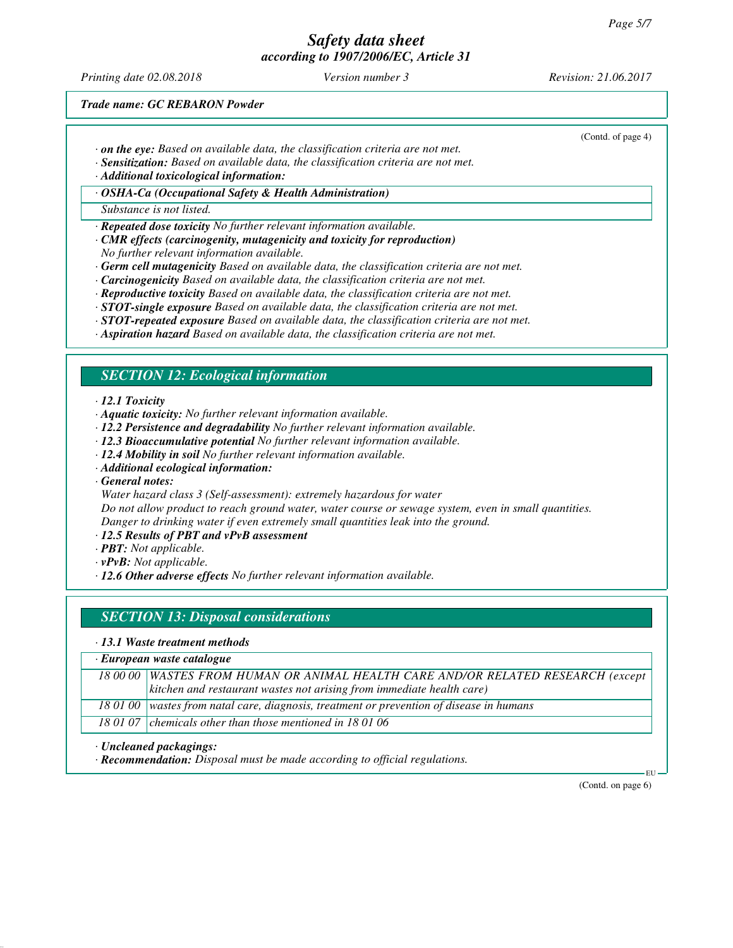*Printing date 02.08.2018 Version number 3 Revision: 21.06.2017*

(Contd. of page 4)

*Trade name: GC REBARON Powder*

- *· on the eye: Based on available data, the classification criteria are not met.*
- *· Sensitization: Based on available data, the classification criteria are not met.*

*· Additional toxicological information:*

*· OSHA-Ca (Occupational Safety & Health Administration)*

*Substance is not listed.*

*· Repeated dose toxicity No further relevant information available.*

- *· CMR effects (carcinogenity, mutagenicity and toxicity for reproduction) No further relevant information available.*
- *· Germ cell mutagenicity Based on available data, the classification criteria are not met.*
- *· Carcinogenicity Based on available data, the classification criteria are not met.*
- *· Reproductive toxicity Based on available data, the classification criteria are not met.*
- *· STOT-single exposure Based on available data, the classification criteria are not met.*
- *· STOT-repeated exposure Based on available data, the classification criteria are not met.*
- *· Aspiration hazard Based on available data, the classification criteria are not met.*

#### *SECTION 12: Ecological information*

*· 12.1 Toxicity*

- *· Aquatic toxicity: No further relevant information available.*
- *· 12.2 Persistence and degradability No further relevant information available.*
- *· 12.3 Bioaccumulative potential No further relevant information available.*
- *· 12.4 Mobility in soil No further relevant information available.*
- *· Additional ecological information:*

*· General notes:*

*Water hazard class 3 (Self-assessment): extremely hazardous for water*

*Do not allow product to reach ground water, water course or sewage system, even in small quantities. Danger to drinking water if even extremely small quantities leak into the ground.*

*· 12.5 Results of PBT and vPvB assessment*

- *· PBT: Not applicable.*
- *· vPvB: Not applicable.*
- *· 12.6 Other adverse effects No further relevant information available.*

#### *SECTION 13: Disposal considerations*

#### *· 13.1 Waste treatment methods*

| $\cdot$ European waste catalogue |                                                                                            |  |
|----------------------------------|--------------------------------------------------------------------------------------------|--|
|                                  | 18 00 00   WASTES FROM HUMAN OR ANIMAL HEALTH CARE AND/OR RELATED RESEARCH (except         |  |
|                                  | $\vert$ kitchen and restaurant wastes not arising from immediate health care)              |  |
|                                  | 18 01 00   wastes from natal care, diagnosis, treatment or prevention of disease in humans |  |
|                                  | 18 01 07 chemicals other than those mentioned in 18 01 06                                  |  |

*· Uncleaned packagings:*

*· Recommendation: Disposal must be made according to official regulations.*

(Contd. on page 6)

EU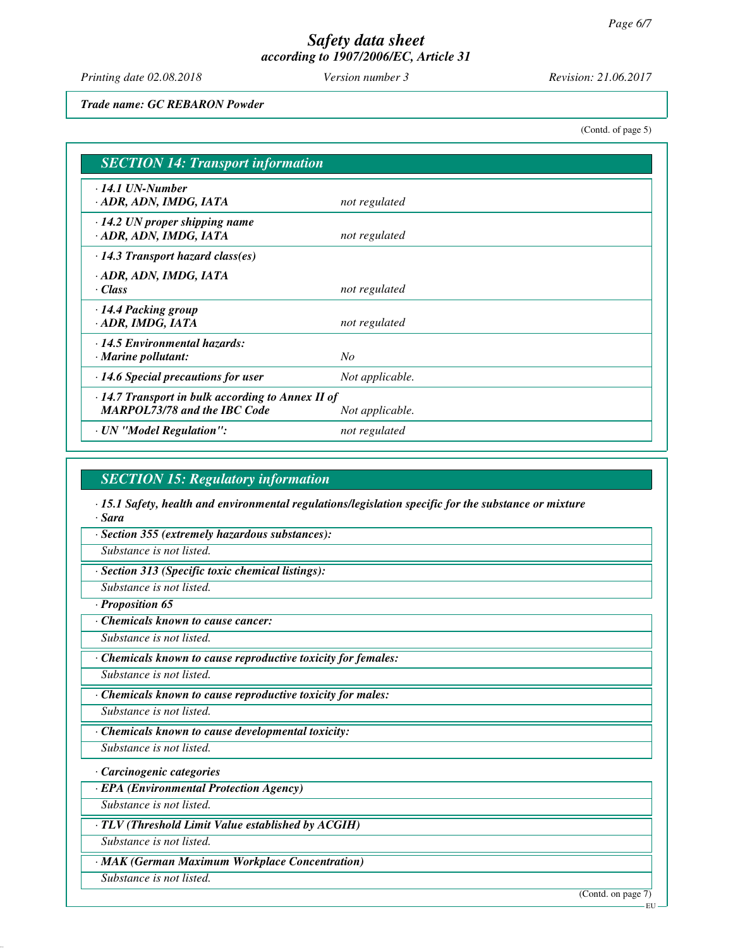*Printing date 02.08.2018 Version number 3 Revision: 21.06.2017*

*Trade name: GC REBARON Powder*

(Contd. of page 5)

| <b>SECTION 14: Transport information</b>                                                                          |                 |  |
|-------------------------------------------------------------------------------------------------------------------|-----------------|--|
| $\cdot$ 14.1 UN-Number<br>· ADR, ADN, IMDG, IATA                                                                  | not regulated   |  |
| $\cdot$ 14.2 UN proper shipping name<br>· ADR, ADN, IMDG, IATA                                                    | not regulated   |  |
| $\cdot$ 14.3 Transport hazard class(es)                                                                           |                 |  |
| · ADR, ADN, IMDG, IATA<br>· Class                                                                                 | not regulated   |  |
| $\cdot$ 14.4 Packing group<br>· ADR, IMDG, IATA                                                                   | not regulated   |  |
| $\cdot$ 14.5 Environmental hazards:<br>$\cdot$ Marine pollutant:                                                  | N <sub>O</sub>  |  |
| $\cdot$ 14.6 Special precautions for user                                                                         | Not applicable. |  |
| $\cdot$ 14.7 Transport in bulk according to Annex II of<br><b>MARPOL73/78 and the IBC Code</b><br>Not applicable. |                 |  |
| · UN "Model Regulation":                                                                                          | not regulated   |  |

### *SECTION 15: Regulatory information*

*· 15.1 Safety, health and environmental regulations/legislation specific for the substance or mixture · Sara*

*· Section 355 (extremely hazardous substances):*

*Substance is not listed.*

*· Section 313 (Specific toxic chemical listings):*

*Substance is not listed.*

*· Proposition 65*

*· Chemicals known to cause cancer:*

*Substance is not listed.*

*· Chemicals known to cause reproductive toxicity for females:*

*Substance is not listed.*

*· Chemicals known to cause reproductive toxicity for males:*

*Substance is not listed.*

*· Chemicals known to cause developmental toxicity:*

*Substance is not listed.*

*· Carcinogenic categories*

*· EPA (Environmental Protection Agency)*

*Substance is not listed.*

*· TLV (Threshold Limit Value established by ACGIH)*

*Substance is not listed.*

*· MAK (German Maximum Workplace Concentration)*

*Substance is not listed.*

(Contd. on page 7) EU